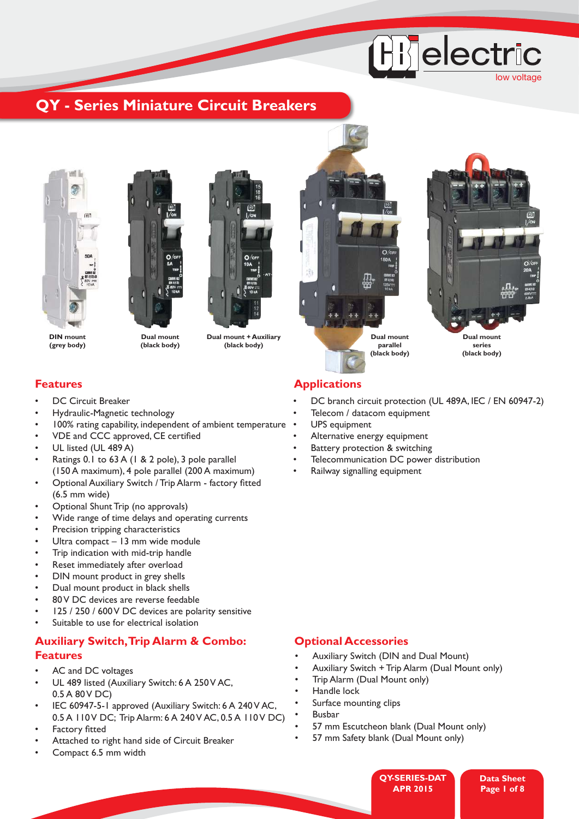# **Hijelectric** low voltage

## **QY - Series Miniature Circuit Breakers**





**Dual mount (black body)**

**Dual mount + Auxiliary (black body)**





**series (black body)**

**(grey body)**

- DC Circuit Breaker
- Hydraulic-Magnetic technology
- 100% rating capability, independent of ambient temperature
- VDE and CCC approved, CE certified
- UL listed (UL 489 A)
- Ratings 0.1 to 63 A (1 & 2 pole), 3 pole parallel (150 A maximum), 4 pole parallel (200 A maximum)
- Optional Auxiliary Switch / Trip Alarm factory fitted (6.5 mm wide)
- Optional Shunt Trip (no approvals)
- Wide range of time delays and operating currents
- Precision tripping characteristics
- Ultra compact 13 mm wide module
- Trip indication with mid-trip handle
- Reset immediately after overload
- DIN mount product in grey shells
- Dual mount product in black shells
- 80 V DC devices are reverse feedable
- 125 / 250 / 600 V DC devices are polarity sensitive
- Suitable to use for electrical isolation

## **Auxiliary Switch, Trip Alarm & Combo: Optional Accessories Features**

- AC and DC voltages
- UL 489 listed (Auxiliary Switch: 6 A 250 V AC, 0.5 A 80 V DC)
- IEC 60947-5-1 approved (Auxiliary Switch: 6 A 240 V AC, 0.5 A 110 V DC; Trip Alarm: 6 A 240 V AC, 0.5 A 110 V DC)
- Factory fitted
- Attached to right hand side of Circuit Breaker
- Compact 6.5 mm width

## **Features Applications**

- DC branch circuit protection (UL 489A, IEC / EN 60947-2)
- Telecom / datacom equipment
- UPS equipment
- Alternative energy equipment
- Battery protection & switching
- Telecommunication DC power distribution
- Railway signalling equipment

- Auxiliary Switch (DIN and Dual Mount)
- Auxiliary Switch + Trip Alarm (Dual Mount only)
- Trip Alarm (Dual Mount only)
- Handle lock
- Surface mounting clips
- **Busbar**
- 57 mm Escutcheon blank (Dual Mount only)
- 57 mm Safety blank (Dual Mount only)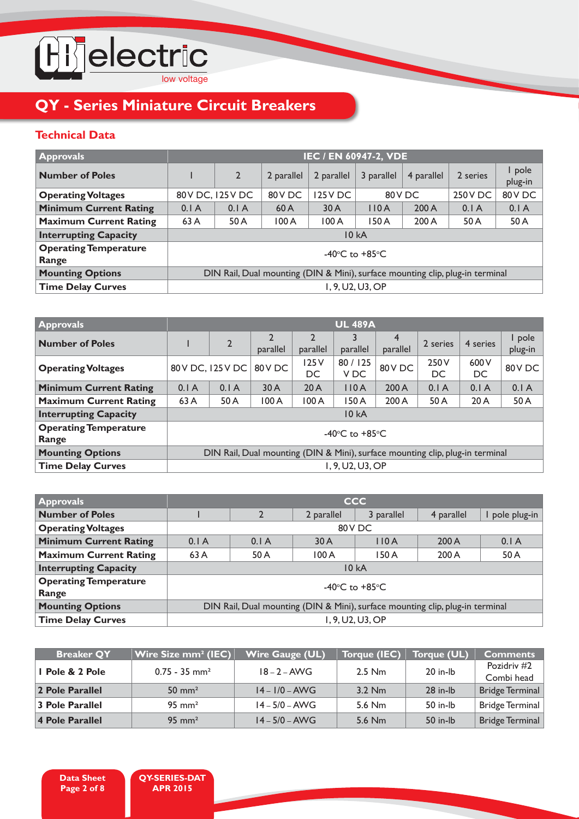

## **Technical Data**

| <b>Approvals</b>                      | IEC / EN 60947-2, VDE                                                         |                |            |            |            |            |                |                   |  |  |
|---------------------------------------|-------------------------------------------------------------------------------|----------------|------------|------------|------------|------------|----------------|-------------------|--|--|
| <b>Number of Poles</b>                |                                                                               | $\overline{2}$ | 2 parallel | 2 parallel | 3 parallel | 4 parallel | 2 series       | I pole<br>plug-in |  |  |
| <b>Operating Voltages</b>             | 80 V DC, 125 V DC                                                             |                | 80 V DC    | 125 V DC   | 80VDC      |            | <b>250V DC</b> | 80VDC             |  |  |
| <b>Minimum Current Rating</b>         | 0.1A                                                                          | 0.1A           | 60A        | 30A        | 110A       | 200A       | 0.1A           | 0.1A              |  |  |
| <b>Maximum Current Rating</b>         | 63 A                                                                          | 50 A           | 100A       | 100A       | 150 A      | 200 A      | 50 A           | 50 A              |  |  |
| <b>Interrupting Capacity</b>          | 10 kA                                                                         |                |            |            |            |            |                |                   |  |  |
| <b>Operating Temperature</b><br>Range | -40 $\degree$ C to +85 $\degree$ C                                            |                |            |            |            |            |                |                   |  |  |
| <b>Mounting Options</b>               | DIN Rail, Dual mounting (DIN & Mini), surface mounting clip, plug-in terminal |                |            |            |            |            |                |                   |  |  |
| <b>Time Delay Curves</b>              | 1, 9, U2, U3, OP                                                              |                |            |            |            |            |                |                   |  |  |

| <b>Approvals</b>                      |                                                                               | <b>UL 489A</b>    |          |                            |                  |               |             |             |                   |
|---------------------------------------|-------------------------------------------------------------------------------|-------------------|----------|----------------------------|------------------|---------------|-------------|-------------|-------------------|
| <b>Number of Poles</b>                |                                                                               | $\overline{2}$    | parallel | $\overline{2}$<br>parallel | parallel         | 4<br>parallel | 2 series    | 4 series    | I pole<br>plug-in |
| <b>Operating Voltages</b>             |                                                                               | 80 V DC, 125 V DC | 80VDC    | 125V<br>DC                 | 80 / 125<br>V DC | 80VDC         | 250 V<br>DC | 600 V<br>DC | 80VDC             |
| <b>Minimum Current Rating</b>         | 0.1A                                                                          | 0.1A              | 30 A     | 20A                        | 110A             | 200 A         | 0.1A        | 0.1A        | 0.1A              |
| <b>Maximum Current Rating</b>         | 63A                                                                           | 50 A              | 100 A    | 100A                       | 150 A            | 200 A         | 50 A        | 20A         | 50 A              |
| <b>Interrupting Capacity</b>          |                                                                               |                   |          |                            | <b>10 kA</b>     |               |             |             |                   |
| <b>Operating Temperature</b><br>Range | -40 $\degree$ C to +85 $\degree$ C                                            |                   |          |                            |                  |               |             |             |                   |
| <b>Mounting Options</b>               | DIN Rail, Dual mounting (DIN & Mini), surface mounting clip, plug-in terminal |                   |          |                            |                  |               |             |             |                   |
| <b>Time Delay Curves</b>              |                                                                               | 1, 9, U2, U3, OP  |          |                            |                  |               |             |             |                   |

| <b>Approvals</b>              | <b>CCC</b>                         |                                                                               |            |            |            |              |  |  |  |
|-------------------------------|------------------------------------|-------------------------------------------------------------------------------|------------|------------|------------|--------------|--|--|--|
| <b>Number of Poles</b>        |                                    | $\mathcal{D}$                                                                 | 2 parallel | 3 parallel | 4 parallel | pole plug-in |  |  |  |
| <b>Operating Voltages</b>     | 80VDC                              |                                                                               |            |            |            |              |  |  |  |
| <b>Minimum Current Rating</b> | 0.1A                               | 0.1A                                                                          | 30A        | 110A       | 200A       | 0.1A         |  |  |  |
| <b>Maximum Current Rating</b> | 63 A                               | 50 A                                                                          | 100A       | 150 A      | 200A       | 50 A         |  |  |  |
| <b>Interrupting Capacity</b>  | 10 kA                              |                                                                               |            |            |            |              |  |  |  |
| <b>Operating Temperature</b>  | -40 $\degree$ C to +85 $\degree$ C |                                                                               |            |            |            |              |  |  |  |
| Range                         |                                    |                                                                               |            |            |            |              |  |  |  |
| <b>Mounting Options</b>       |                                    | DIN Rail, Dual mounting (DIN & Mini), surface mounting clip, plug-in terminal |            |            |            |              |  |  |  |
| <b>Time Delay Curves</b>      | 1.9. U2. U3. OP                    |                                                                               |            |            |            |              |  |  |  |

| <b>Breaker QY</b> | Wire Size mm <sup>2</sup> (IEC) | Wire Gauge (UL)  | <b>Torque (IEC)</b> | Torque (UL) | <b>Comments</b>           |
|-------------------|---------------------------------|------------------|---------------------|-------------|---------------------------|
| I Pole & 2 Pole   | $0.75 - 35$ mm <sup>2</sup>     | $18 - 2 - AWG$   | $2.5$ Nm            | 20 in-lb    | Pozidriv #2<br>Combi head |
| 2 Pole Parallel   | $50 \text{ mm}^2$               | $14 - 1/0 - AWG$ | $3.2$ Nm            | 28 in-lb    | Bridge Terminal           |
| 3 Pole Parallel   | $95 \text{ mm}^2$               | $14 - 5/0 - AWG$ | 5.6 Nm              | 50 in-lb    | Bridge Terminal           |
| 4 Pole Parallel   | $95 \text{ mm}^2$               | $14 - 5/0 - AWG$ | 5.6 Nm              | 50 in-lb    | Bridge Terminal           |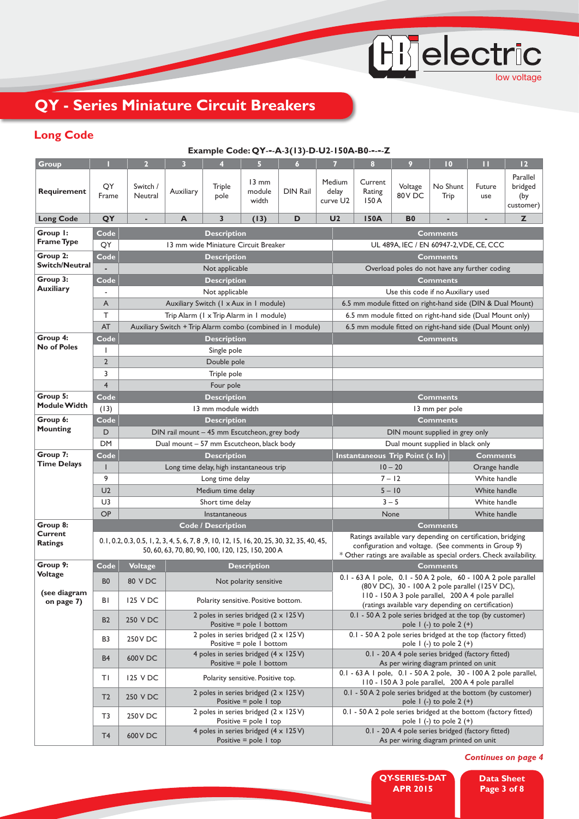OD electric

## **QY - Series Miniature Circuit Breakers**

## **Long Code**

#### **Example Code: QY**-**-**-**A**-**3(13)**-**D**-**U2**-**150A-B0**-**-**-**-**-**Z**

| <b>Group</b>                   |                      | $\overline{2}$                                                                                                                                                | 3         | 4                                                          | $\overline{5}$                     | $\overline{6}$  | 7                           | 8                                                                                                                            | 9                    | $\overline{10}$                                                                            | П             | 12                                      |  |
|--------------------------------|----------------------|---------------------------------------------------------------------------------------------------------------------------------------------------------------|-----------|------------------------------------------------------------|------------------------------------|-----------------|-----------------------------|------------------------------------------------------------------------------------------------------------------------------|----------------------|--------------------------------------------------------------------------------------------|---------------|-----------------------------------------|--|
| Requirement                    | QY<br>Frame          | Switch /<br>Neutral                                                                                                                                           | Auxiliary | <b>Triple</b><br>pole                                      | $13 \text{ mm}$<br>module<br>width | <b>DIN Rail</b> | Medium<br>delay<br>curve U2 | Current<br>Rating<br>150 A                                                                                                   | Voltage<br>80VDC     | No Shunt<br>Trip                                                                           | Future<br>use | Parallel<br>bridged<br>(by<br>customer) |  |
| <b>Long Code</b>               | QY                   | ٠                                                                                                                                                             | A         | 3                                                          | (13)                               | D               | U <sub>2</sub>              | 150A                                                                                                                         | <b>B0</b>            |                                                                                            |               | z                                       |  |
| Group I:                       | Code                 |                                                                                                                                                               |           | <b>Description</b>                                         |                                    |                 |                             |                                                                                                                              |                      | <b>Comments</b>                                                                            |               |                                         |  |
| <b>Frame Type</b>              | QY                   |                                                                                                                                                               |           | 13 mm wide Miniature Circuit Breaker                       |                                    |                 |                             | UL 489A, IEC / EN 60947-2, VDE, CE, CCC                                                                                      |                      |                                                                                            |               |                                         |  |
| Group 2:                       | Code                 |                                                                                                                                                               |           | <b>Description</b>                                         |                                    |                 |                             |                                                                                                                              |                      | <b>Comments</b>                                                                            |               |                                         |  |
| <b>Switch/Neutral</b>          |                      |                                                                                                                                                               |           | Not applicable                                             |                                    |                 |                             | Overload poles do not have any further coding                                                                                |                      |                                                                                            |               |                                         |  |
| Group 3:                       | Code                 |                                                                                                                                                               |           | <b>Description</b>                                         |                                    |                 |                             |                                                                                                                              |                      | <b>Comments</b>                                                                            |               |                                         |  |
| <b>Auxiliary</b>               | ٠                    |                                                                                                                                                               |           | Not applicable                                             |                                    |                 |                             | Use this code if no Auxiliary used                                                                                           |                      |                                                                                            |               |                                         |  |
|                                | A                    |                                                                                                                                                               |           | Auxiliary Switch (1 x Aux in 1 module)                     |                                    |                 |                             | 6.5 mm module fitted on right-hand side (DIN & Dual Mount)                                                                   |                      |                                                                                            |               |                                         |  |
|                                | T.                   |                                                                                                                                                               |           | Trip Alarm (1 x Trip Alarm in 1 module)                    |                                    |                 |                             | 6.5 mm module fitted on right-hand side (Dual Mount only)                                                                    |                      |                                                                                            |               |                                         |  |
|                                | AT                   |                                                                                                                                                               |           | Auxiliary Switch + Trip Alarm combo (combined in 1 module) |                                    |                 |                             | 6.5 mm module fitted on right-hand side (Dual Mount only)                                                                    |                      |                                                                                            |               |                                         |  |
| Group 4:<br><b>No of Poles</b> | Code                 |                                                                                                                                                               |           | <b>Description</b>                                         |                                    |                 |                             |                                                                                                                              |                      | <b>Comments</b>                                                                            |               |                                         |  |
|                                | I<br>$\overline{2}$  |                                                                                                                                                               |           | Single pole                                                |                                    |                 |                             |                                                                                                                              |                      |                                                                                            |               |                                         |  |
|                                | 3                    |                                                                                                                                                               |           | Double pole<br>Triple pole                                 |                                    |                 |                             |                                                                                                                              |                      |                                                                                            |               |                                         |  |
|                                | $\overline{4}$       |                                                                                                                                                               |           | Four pole                                                  |                                    |                 |                             |                                                                                                                              |                      |                                                                                            |               |                                         |  |
| Group 5:                       | Code                 |                                                                                                                                                               |           | <b>Description</b>                                         |                                    |                 |                             |                                                                                                                              |                      | <b>Comments</b>                                                                            |               |                                         |  |
| <b>Module Width</b>            | (13)                 |                                                                                                                                                               |           | 13 mm module width                                         |                                    |                 |                             |                                                                                                                              |                      | 13 mm per pole                                                                             |               |                                         |  |
| Group 6:                       | Code                 |                                                                                                                                                               |           | <b>Description</b>                                         |                                    |                 |                             | <b>Comments</b>                                                                                                              |                      |                                                                                            |               |                                         |  |
| <b>Mounting</b>                | D                    |                                                                                                                                                               |           | DIN rail mount - 45 mm Escutcheon, grey body               |                                    |                 |                             | DIN mount supplied in grey only                                                                                              |                      |                                                                                            |               |                                         |  |
|                                | <b>DM</b>            | Dual mount - 57 mm Escutcheon, black body                                                                                                                     |           |                                                            |                                    |                 |                             | Dual mount supplied in black only                                                                                            |                      |                                                                                            |               |                                         |  |
| Group 7:                       | Code                 |                                                                                                                                                               |           | <b>Description</b>                                         |                                    |                 |                             | Instantaneous Trip Point (x In)<br><b>Comments</b>                                                                           |                      |                                                                                            |               |                                         |  |
| <b>Time Delays</b>             | ı                    | Long time delay, high instantaneous trip                                                                                                                      |           |                                                            |                                    |                 |                             | $10 - 20$<br>Orange handle                                                                                                   |                      |                                                                                            |               |                                         |  |
|                                | 9                    | Long time delay                                                                                                                                               |           |                                                            |                                    |                 |                             | $7 - 12$<br>White handle                                                                                                     |                      |                                                                                            |               |                                         |  |
|                                | U <sub>2</sub><br>U3 | Medium time delay                                                                                                                                             |           |                                                            |                                    |                 |                             | $5 - 10$<br>White handle<br>$3 - 5$<br>White handle                                                                          |                      |                                                                                            |               |                                         |  |
|                                | OP                   | Short time delay                                                                                                                                              |           |                                                            |                                    |                 |                             |                                                                                                                              | None<br>White handle |                                                                                            |               |                                         |  |
| Group 8:                       |                      | Instantaneous<br><b>Code / Description</b>                                                                                                                    |           |                                                            |                                    |                 |                             |                                                                                                                              |                      | <b>Comments</b>                                                                            |               |                                         |  |
| <b>Current</b>                 |                      |                                                                                                                                                               |           |                                                            |                                    |                 |                             | Ratings available vary depending on certification, bridging                                                                  |                      |                                                                                            |               |                                         |  |
| <b>Ratings</b>                 |                      | 0.1, 0.2, 0.3, 0.5, 1, 2, 3, 4, 5, 6, 7, 8, 9, 10, 12, 15, 16, 20, 25, 30, 32, 35, 40, 45,<br>50, 60, 63, 70, 80, 90, 100, 120, 125, 150, 200 A               |           |                                                            |                                    |                 |                             | configuration and voltage. (See comments in Group 9)<br>* Other ratings are available as special orders. Check availability. |                      |                                                                                            |               |                                         |  |
| Group 9:                       | Code                 | <b>Voltage</b>                                                                                                                                                |           |                                                            | <b>Description</b>                 |                 |                             |                                                                                                                              |                      | <b>Comments</b>                                                                            |               |                                         |  |
| Voltage                        | B <sub>0</sub>       | 80 V DC                                                                                                                                                       |           |                                                            | Not polarity sensitive             |                 |                             | 0.1 - 63 A I pole, 0.1 - 50 A 2 pole, 60 - 100 A 2 pole parallel<br>(80 V DC), 30 - 100 A 2 pole parallel (125 V DC),        |                      |                                                                                            |               |                                         |  |
| (see diagram<br>on page 7)     | BI                   | 110 - 150 A 3 pole parallel, 200 A 4 pole parallel<br>125 V DC<br>Polarity sensitive. Positive bottom.<br>(ratings available vary depending on certification) |           |                                                            |                                    |                 |                             |                                                                                                                              |                      |                                                                                            |               |                                         |  |
|                                | <b>B2</b>            | 250 V DC                                                                                                                                                      |           | 2 poles in series bridged $(2 \times 125 \text{ V})$       | Positive $=$ pole 1 bottom         |                 |                             | 0.1 - 50 A 2 pole series bridged at the top (by customer)                                                                    |                      | pole $1$ (-) to pole $2$ (+)                                                               |               |                                         |  |
|                                | B3                   | 2 poles in series bridged $(2 \times 125 \text{ V})$<br>250 V DC<br>Positive $=$ pole 1 bottom                                                                |           |                                                            |                                    |                 |                             | 0.1 - 50 A 2 pole series bridged at the top (factory fitted)<br>pole $\vert$ (-) to pole 2 (+)                               |                      |                                                                                            |               |                                         |  |
|                                | B <sub>4</sub>       | 4 poles in series bridged $(4 \times 125 \text{ V})$<br>600 V DC<br>Positive $=$ pole 1 bottom                                                                |           |                                                            |                                    |                 |                             | 0.1 - 20 A 4 pole series bridged (factory fitted)<br>As per wiring diagram printed on unit                                   |                      |                                                                                            |               |                                         |  |
|                                | ΤI                   | 125 V DC                                                                                                                                                      |           | Polarity sensitive. Positive top.                          |                                    |                 |                             | 0.1 - 63 A I pole, 0.1 - 50 A 2 pole, 30 - 100 A 2 pole parallel,<br>110 - 150 A 3 pole parallel, 200 A 4 pole parallel      |                      |                                                                                            |               |                                         |  |
|                                | T <sub>2</sub>       | 2 poles in series bridged $(2 \times 125 \text{ V})$<br>250 V DC<br>Positive $=$ pole 1 top                                                                   |           |                                                            |                                    |                 |                             | 0.1 - 50 A 2 pole series bridged at the bottom (by customer)<br>pole $\vert$ (-) to pole 2 (+)                               |                      |                                                                                            |               |                                         |  |
|                                | T3                   | 250 V DC                                                                                                                                                      |           | 2 poles in series bridged (2 x 125 V)                      | Positive $=$ pole 1 top            |                 |                             | 0.1 - 50 A 2 pole series bridged at the bottom (factory fitted)<br>pole $I(-)$ to pole 2 $(+)$                               |                      |                                                                                            |               |                                         |  |
|                                | T <sub>4</sub>       | 600 V DC                                                                                                                                                      |           | 4 poles in series bridged (4 x 125 V)                      | Positive $=$ pole 1 top            |                 |                             |                                                                                                                              |                      | 0.1 - 20 A 4 pole series bridged (factory fitted)<br>As per wiring diagram printed on unit |               |                                         |  |

*Continues on page 4*

**QY-SERIES-DAT APR 2015**

**Data Sheet Page 3 of 8**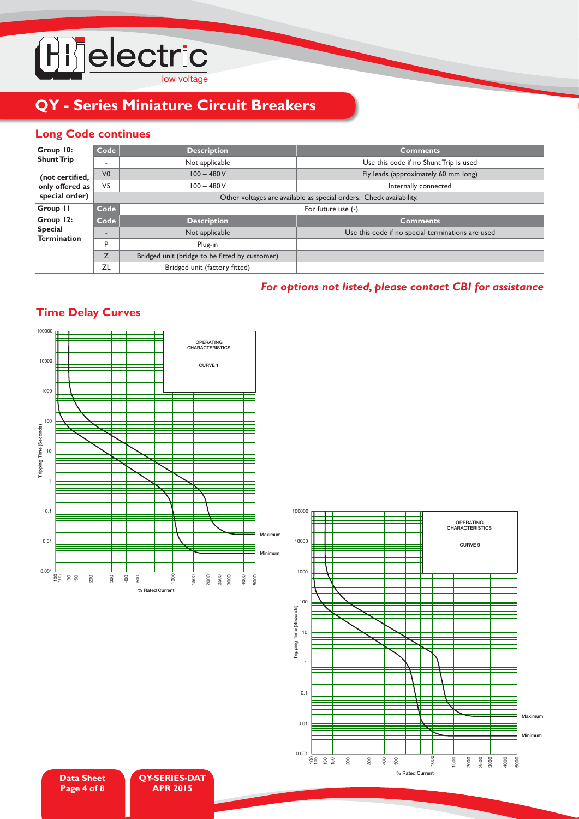

## **Long Code continues**

| Group 10:                            | Code                     | <b>Description</b>                             | <b>Comments</b>                                                     |  |  |  |  |  |  |  |
|--------------------------------------|--------------------------|------------------------------------------------|---------------------------------------------------------------------|--|--|--|--|--|--|--|
| <b>Shunt Trip</b>                    | $\overline{\phantom{a}}$ | Not applicable                                 | Use this code if no Shunt Trip is used                              |  |  |  |  |  |  |  |
| (not certified,                      | V <sub>0</sub>           | $100 - 480V$                                   | Fly leads (approximately 60 mm long)                                |  |  |  |  |  |  |  |
| only offered as                      | V <sub>5</sub>           | $100 - 480V$                                   | Internally connected                                                |  |  |  |  |  |  |  |
| special order)                       |                          |                                                | Other voltages are available as special orders. Check availability. |  |  |  |  |  |  |  |
| Group 11                             | Code                     | For future use (-)                             |                                                                     |  |  |  |  |  |  |  |
| Group 12:                            | Code                     | <b>Description</b>                             | <b>Comments</b>                                                     |  |  |  |  |  |  |  |
| <b>Special</b><br><b>Termination</b> | $\overline{\phantom{a}}$ | Not applicable                                 | Use this code if no special terminations are used                   |  |  |  |  |  |  |  |
|                                      | P                        | Plug-in                                        |                                                                     |  |  |  |  |  |  |  |
|                                      | Z                        | Bridged unit (bridge to be fitted by customer) |                                                                     |  |  |  |  |  |  |  |
|                                      | ZL                       | Bridged unit (factory fitted)                  |                                                                     |  |  |  |  |  |  |  |

## *For options not listed, please contact CBI for assistance*

## **Time Delay Curves**





**QY-SERIES-DAT APR 2015**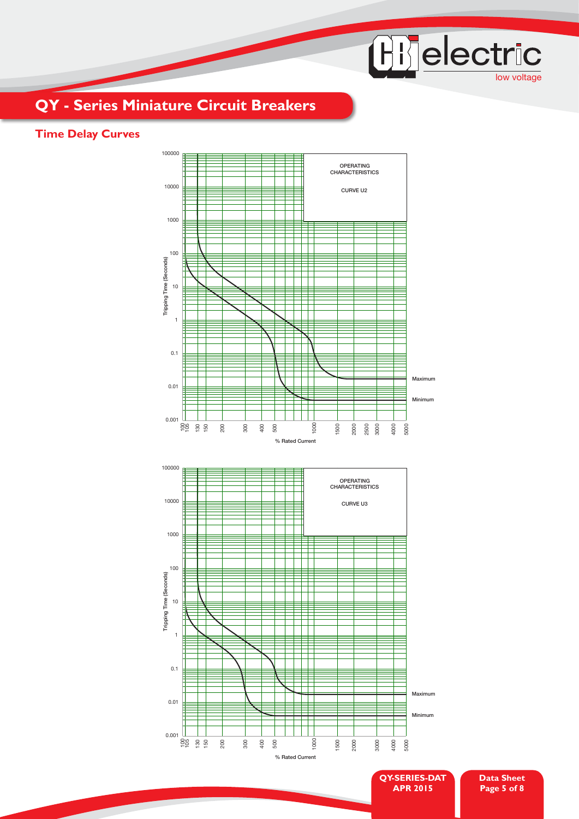# Hi electric

## **QY - Series Miniature Circuit Breakers**

## **Time Delay Curves**

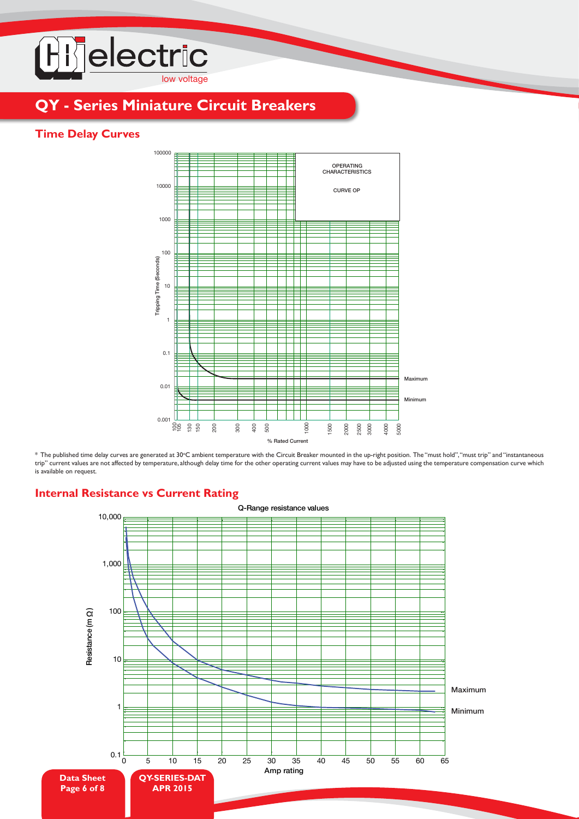

## **Time Delay Curves**



\* The published time delay curves are generated at 30°C ambient temperature with the Circuit Breaker mounted in the up-right position. The "must hold", "must trip" and "instantaneous trip" current values are not affected by temperature, although delay time for the other operating current values may have to be adjusted using the temperature compensation curve which is available on request.

#### **Internal Resistance vs Current Rating**

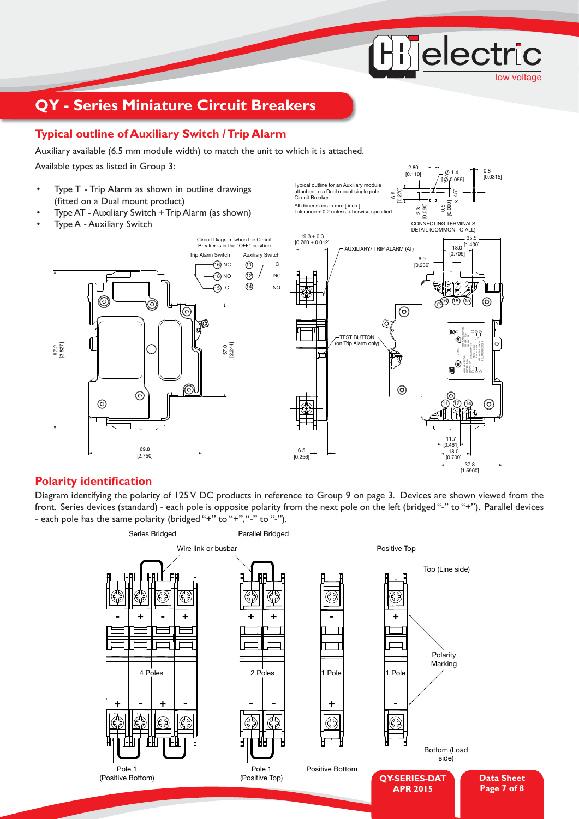## **Typical outline of Auxiliary Switch / Trip Alarm**

Auxiliary available (6.5 mm module width) to match the unit to which it is attached.

Available types as listed in Group 3:

- Type T Trip Alarm as shown in outline drawings (fitted on a Dual mount product)
- Type AT Auxiliary Switch + Trip Alarm (as shown)
- Type A Auxiliary Switch



All dimensions in mm  $[$  inch  $]$ <br>Tolerance + 0.2 unless otherwise specified  $T$ olerance  $+$  0.2 unless other

Typical outline for an Auxiliary module attached to a Dual mount single pole

Circuit Breaker

low voltage

0.8 [0.0315]

 $0.4$ 

**Hijelectric** 

0.5<br>0.020 [0.020] 45°  $[\phi_0.055]$ 

2.80 [0.110]

2.3 [0.090]

6.8 [0.270]

#### **Polarity identification**

Diagram identifying the polarity of 125 V DC products in reference to Group 9 on page 3. Devices are shown viewed from the front. Series devices (standard) - each pole is opposite polarity from the next pole on the left (bridged "-" to "+"). Parallel devices - each pole has the same polarity (bridged "+" to "+", "-" to "-").